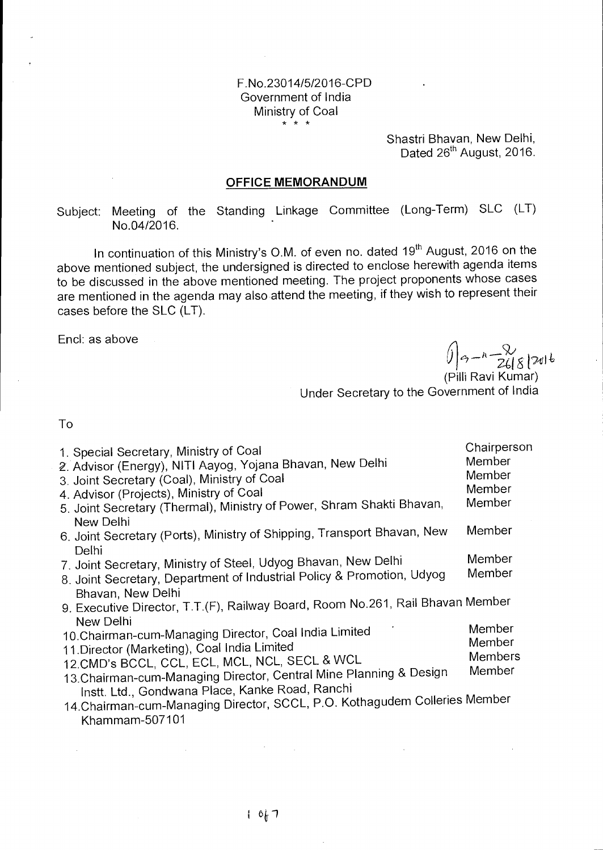## F.No.23014/5/2016-CPD Government of India Ministry of Coal

Shastri Bhavan, New Delhi, Dated 26<sup>th</sup> August, 2016.

#### **OFFICE MEMORANDUM**

Subject: Meeting of the Standing Linkage Committee (Long-Term) SLC (LT) No.04/2016.

In continuation of this Ministry's O.M. of even no. dated 19<sup>th</sup> August, 2016 on the above mentioned subject, the undersigned is directed to enclose herewith agenda items to be discussed in the above mentioned meeting. The project proponents whose cases are mentioned in the agenda may also attend the meeting, if they wish to represent their cases before the SLC (LT).

Encl: as above

 $\int \left(1 - \frac{1}{26\epsilon}\right)$ 

(Pilli Ravi Kumar) Under Secretary to the Government of India

To

 $\bar{L}$ 

| 1. Special Secretary, Ministry of Coal<br>2. Advisor (Energy), NITI Aayog, Yojana Bhavan, New Delhi<br>3. Joint Secretary (Coal), Ministry of Coal<br>4. Advisor (Projects), Ministry of Coal<br>5. Joint Secretary (Thermal), Ministry of Power, Shram Shakti Bhavan,                                                                                                                         | Chairperson<br>Member<br>Member<br>Member<br>Member |
|------------------------------------------------------------------------------------------------------------------------------------------------------------------------------------------------------------------------------------------------------------------------------------------------------------------------------------------------------------------------------------------------|-----------------------------------------------------|
| New Delhi<br>6. Joint Secretary (Ports), Ministry of Shipping, Transport Bhavan, New                                                                                                                                                                                                                                                                                                           | Member                                              |
| <b>Delhi</b><br>7. Joint Secretary, Ministry of Steel, Udyog Bhavan, New Delhi<br>8. Joint Secretary, Department of Industrial Policy & Promotion, Udyog                                                                                                                                                                                                                                       | Member<br>Member                                    |
| Bhavan, New Delhi<br>9. Executive Director, T.T.(F), Railway Board, Room No.261, Rail Bhavan Member                                                                                                                                                                                                                                                                                            |                                                     |
| New Delhi<br>10. Chairman-cum-Managing Director, Coal India Limited<br>11. Director (Marketing), Coal India Limited<br>12. CMD's BCCL, CCL, ECL, MCL, NCL, SECL & WCL<br>13. Chairman-cum-Managing Director, Central Mine Planning & Design<br>Instt. Ltd., Gondwana Place, Kanke Road, Ranchi<br>14. Chairman-cum-Managing Director, SCCL, P.O. Kothagudem Colleries Member<br>Khammam-507101 | Member<br>Member<br><b>Members</b><br>Member        |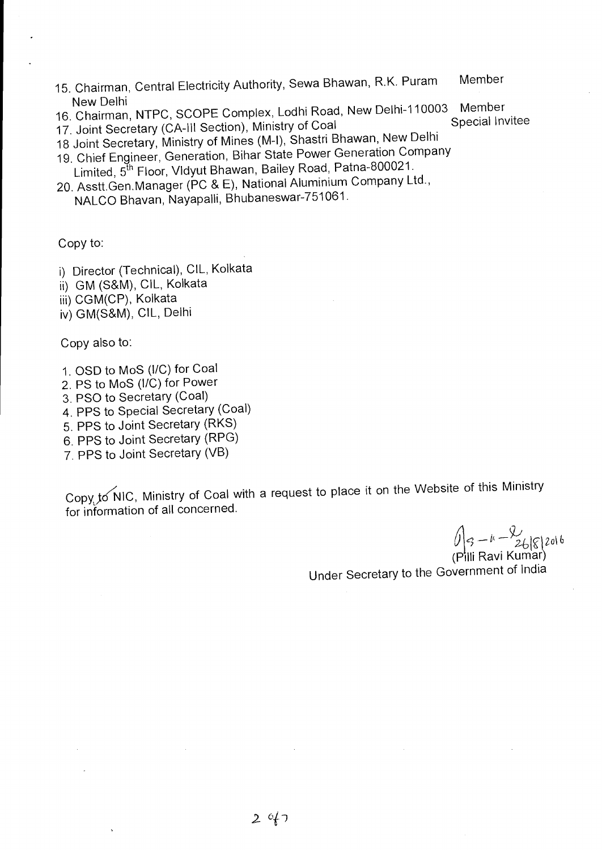- 15. Chairman, Central Electricity Authority, Sewa Bhawan, R.K. Puram Member New Delhi
- 16. Chairman, NTPC, SCOPE Complex, Lodhi Road, New Delhi-110003 Member<br>16. Chairman, NTPC, SCOPE Complex, Lodhi Road, New Delhi-110003 Member
- 17. Joint Secretary (CA-III Section), Ministry of Coal
- 18 Joint Secretary, Ministry of Mines (M-I), Shastri Bhawan, New Delhi
- 19. Chief Engineer, Generation, Bihar State Power Generation Company Limited, 5<sup>th</sup> Floor, Vldyut Bhawan, Bailey Road, Patna-800021.
- 20. Asstt.Gen.Manager (PC & E), National Aluminium Company Ltd., NALCO Bhavan, Nayapalli, Bhubaneswar-751061.

Copy to:

- i) Director (Technical), CIL, Kolkata
- ii) GM (S&M), CIL, Kolkata
- iii) CGM(CP), Kolkata
- iv) GM(S&M), CIL, Delhi

Copy also to:

- 1. OSD to MoS (I/C) for Coal
- 2. PS to MoS (I/C) for Power
- 3. PSO to Secretary (Coal)
- 4. PPS to Special Secretary (Coal)
- 5. PPS to Joint Secretary (RKS)
- 6. PPS to Joint Secretary (RPG)
- 7. PPS to Joint Secretary (VB)

Copy to NIC, Ministry of Coal with a request to place it on the Website of this Ministry for information of all concerned.

 $\iint_{S^{-k}} -1 - \frac{1}{26|S|} 2016$ (Pilli Ravi Kumar)

Under Secretary to the Government of India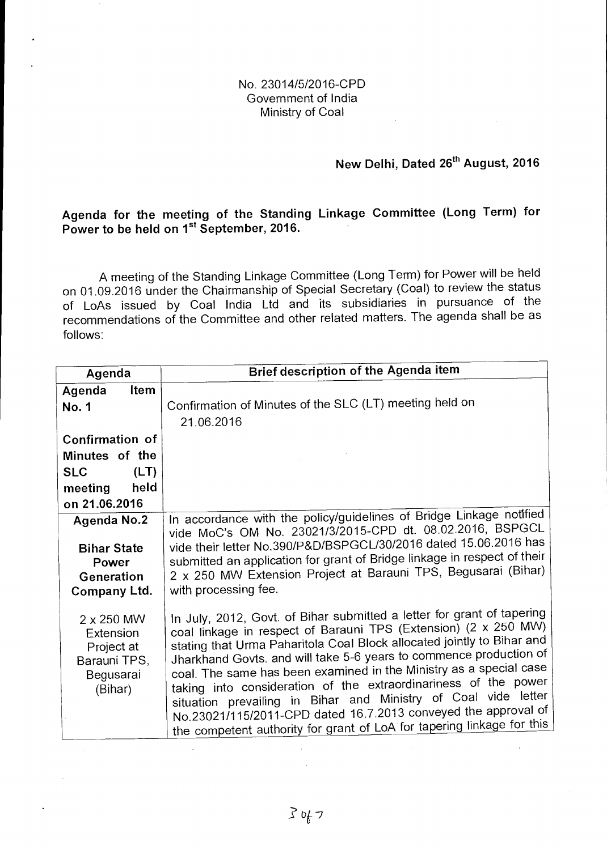#### No. 23014/5/2016-CPD Government of India Ministry of Coal

## **New Delhi, Dated 26<sup>th</sup> August, 2016**

## **Agenda for the meeting of the Standing Linkage Committee (Long Term) for**  Power to be held on 1<sup>st</sup> September, 2016.

A meeting of the Standing Linkage Committee (Long Term) for Power will be held on 01.09.2016 under the Chairmanship of Special Secretary (Coal) to review the status of LoAs issued by Coal India Ltd and its subsidiaries in pursuance of the recommendations of the Committee and other related matters. The agenda shall be as follows:

| Agenda                                                                                      | Brief description of the Agenda item                                                                                                                                                                                                                                                                                                                                                                                                                                                                                                                                                                                                             |
|---------------------------------------------------------------------------------------------|--------------------------------------------------------------------------------------------------------------------------------------------------------------------------------------------------------------------------------------------------------------------------------------------------------------------------------------------------------------------------------------------------------------------------------------------------------------------------------------------------------------------------------------------------------------------------------------------------------------------------------------------------|
| Agenda<br><b>Item</b><br>No. 1                                                              | Confirmation of Minutes of the SLC (LT) meeting held on<br>21.06.2016                                                                                                                                                                                                                                                                                                                                                                                                                                                                                                                                                                            |
| Confirmation of<br>Minutes of the<br><b>SLC</b><br>(LT)<br>held<br>meeting<br>on 21.06.2016 |                                                                                                                                                                                                                                                                                                                                                                                                                                                                                                                                                                                                                                                  |
| <b>Agenda No.2</b><br><b>Bihar State</b><br>Power<br>Generation<br>Company Ltd.             | In accordance with the policy/guidelines of Bridge Linkage notified<br>vide MoC's OM No. 23021/3/2015-CPD dt. 08.02.2016, BSPGCL<br>vide their letter No.390/P&D/BSPGCL/30/2016 dated 15.06.2016 has<br>submitted an application for grant of Bridge linkage in respect of their<br>2 x 250 MW Extension Project at Barauni TPS, Begusarai (Bihar)<br>with processing fee.                                                                                                                                                                                                                                                                       |
| $2 \times 250$ MW<br>Extension<br>Project at<br>Barauni TPS,<br>Begusarai<br>(Bihar)        | In July, 2012, Govt. of Bihar submitted a letter for grant of tapering<br>coal linkage in respect of Barauni TPS (Extension) (2 x 250 MW)<br>stating that Urma Paharitola Coal Block allocated jointly to Bihar and<br>Jharkhand Govts. and will take 5-6 years to commence production of<br>coal. The same has been examined in the Ministry as a special case<br>taking into consideration of the extraordinariness of the power<br>situation prevailing in Bihar and Ministry of Coal vide letter<br>No.23021/115/2011-CPD dated 16.7.2013 conveyed the approval of<br>the competent authority for grant of LoA for tapering linkage for this |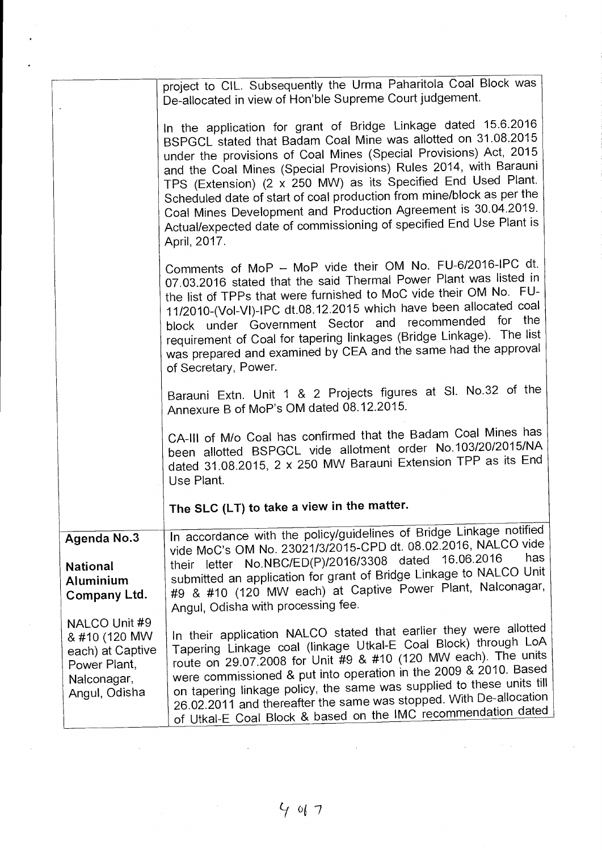|                                                                                                    | project to CIL. Subsequently the Urma Paharitola Coal Block was<br>De-allocated in view of Hon'ble Supreme Court judgement.                                                                                                                                                                                                                                                                                                                                                                                                                                                 |
|----------------------------------------------------------------------------------------------------|-----------------------------------------------------------------------------------------------------------------------------------------------------------------------------------------------------------------------------------------------------------------------------------------------------------------------------------------------------------------------------------------------------------------------------------------------------------------------------------------------------------------------------------------------------------------------------|
|                                                                                                    | In the application for grant of Bridge Linkage dated 15.6.2016<br>BSPGCL stated that Badam Coal Mine was allotted on 31.08.2015<br>under the provisions of Coal Mines (Special Provisions) Act, 2015<br>and the Coal Mines (Special Provisions) Rules 2014, with Barauni<br>TPS (Extension) (2 x 250 MW) as its Specified End Used Plant.<br>Scheduled date of start of coal production from mine/block as per the<br>Coal Mines Development and Production Agreement is 30.04.2019.<br>Actual/expected date of commissioning of specified End Use Plant is<br>April, 2017. |
|                                                                                                    | Comments of MoP - MoP vide their OM No. FU-6/2016-IPC dt.<br>07.03.2016 stated that the said Thermal Power Plant was listed in<br>the list of TPPs that were furnished to MoC vide their OM No. FU-<br>11/2010-(Vol-VI)-IPC dt.08.12.2015 which have been allocated coal<br>block under Government Sector and recommended for the<br>requirement of Coal for tapering linkages (Bridge Linkage). The list<br>was prepared and examined by CEA and the same had the approval<br>of Secretary, Power.                                                                         |
|                                                                                                    | Barauni Extn. Unit 1 & 2 Projects figures at SI. No.32 of the<br>Annexure B of MoP's OM dated 08.12.2015.                                                                                                                                                                                                                                                                                                                                                                                                                                                                   |
|                                                                                                    | CA-III of M/o Coal has confirmed that the Badam Coal Mines has<br>been allotted BSPGCL vide allotment order No.103/20/2015/NA<br>dated 31.08.2015, 2 x 250 MW Barauni Extension TPP as its End<br>Use Plant.                                                                                                                                                                                                                                                                                                                                                                |
|                                                                                                    | The SLC (LT) to take a view in the matter.                                                                                                                                                                                                                                                                                                                                                                                                                                                                                                                                  |
| <b>Agenda No.3</b><br><b>National</b><br>Aluminium<br>Company Ltd.                                 | In accordance with the policy/guidelines of Bridge Linkage notified<br>vide MoC's OM No. 23021/3/2015-CPD dt. 08.02.2016, NALCO vide<br>has<br>their letter No.NBC/ED(P)/2016/3308 dated 16.06.2016<br>submitted an application for grant of Bridge Linkage to NALCO Unit<br>#9 & #10 (120 MW each) at Captive Power Plant, Nalconagar,<br>Angul, Odisha with processing fee.                                                                                                                                                                                               |
| NALCO Unit #9<br>& #10 (120 MW<br>each) at Captive<br>Power Plant,<br>Nalconagar,<br>Angul, Odisha | In their application NALCO stated that earlier they were allotted<br>Tapering Linkage coal (linkage Utkal-E Coal Block) through LoA<br>route on 29.07.2008 for Unit #9 & #10 (120 MW each). The units<br>were commissioned & put into operation in the 2009 & 2010. Based<br>on tapering linkage policy, the same was supplied to these units till<br>26.02.2011 and thereafter the same was stopped. With De-allocation<br>of Utkal-E Coal Block & based on the IMC recommendation dated                                                                                   |

 $\ddot{\phantom{0}}$ 

 $\hat{\boldsymbol{\cdot}$ 

 $\epsilon$ 

 $\sim 10^6$ 

 $4017$ 

 $\mathcal{A}^{\text{max}}_{\text{max}}$ 

 $\sim$ 

 $\mathcal{A}^{\mathcal{A}}$ 

 $\mathcal{L}^{\text{max}}_{\text{max}}$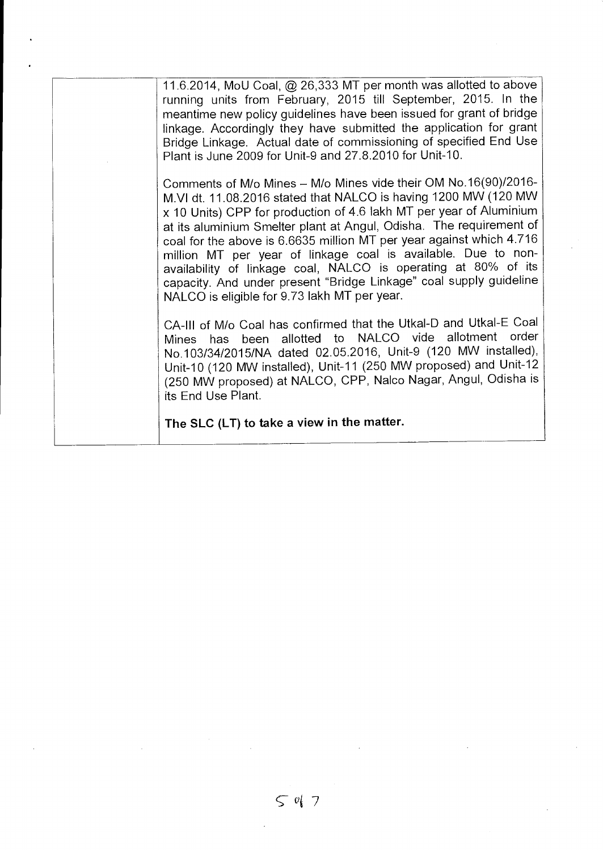| The SLC (LT) to take a view in the matter.                                                                                                                                                                                                                                                                                                                                                                                                                                                                                                                                                                        |
|-------------------------------------------------------------------------------------------------------------------------------------------------------------------------------------------------------------------------------------------------------------------------------------------------------------------------------------------------------------------------------------------------------------------------------------------------------------------------------------------------------------------------------------------------------------------------------------------------------------------|
| CA-III of M/o Coal has confirmed that the Utkal-D and Utkal-E Coal<br>Mines has been allotted to NALCO vide allotment order<br>No.103/34/2015/NA dated 02.05.2016, Unit-9 (120 MW installed),<br>Unit-10 (120 MW installed), Unit-11 (250 MW proposed) and Unit-12<br>(250 MW proposed) at NALCO, CPP, Nalco Nagar, Angul, Odisha is<br>its End Use Plant.                                                                                                                                                                                                                                                        |
| Comments of M/o Mines - M/o Mines vide their OM No.16(90)/2016-<br>M.VI dt. 11.08.2016 stated that NALCO is having 1200 MW (120 MW<br>x 10 Units) CPP for production of 4.6 lakh MT per year of Aluminium<br>at its aluminium Smelter plant at Angul, Odisha. The requirement of<br>coal for the above is 6.6635 million MT per year against which 4.716<br>million MT per year of linkage coal is available. Due to non-<br>availability of linkage coal, NALCO is operating at 80% of its<br>capacity. And under present "Bridge Linkage" coal supply guideline<br>NALCO is eligible for 9.73 lakh MT per year. |
| 11.6.2014, MoU Coal, @ 26,333 MT per month was allotted to above<br>running units from February, 2015 till September, 2015. In the<br>meantime new policy guidelines have been issued for grant of bridge<br>linkage. Accordingly they have submitted the application for grant<br>Bridge Linkage. Actual date of commissioning of specified End Use<br>Plant is June 2009 for Unit-9 and 27.8.2010 for Unit-10.                                                                                                                                                                                                  |

 $597$ 

 $\hat{\boldsymbol{\beta}}$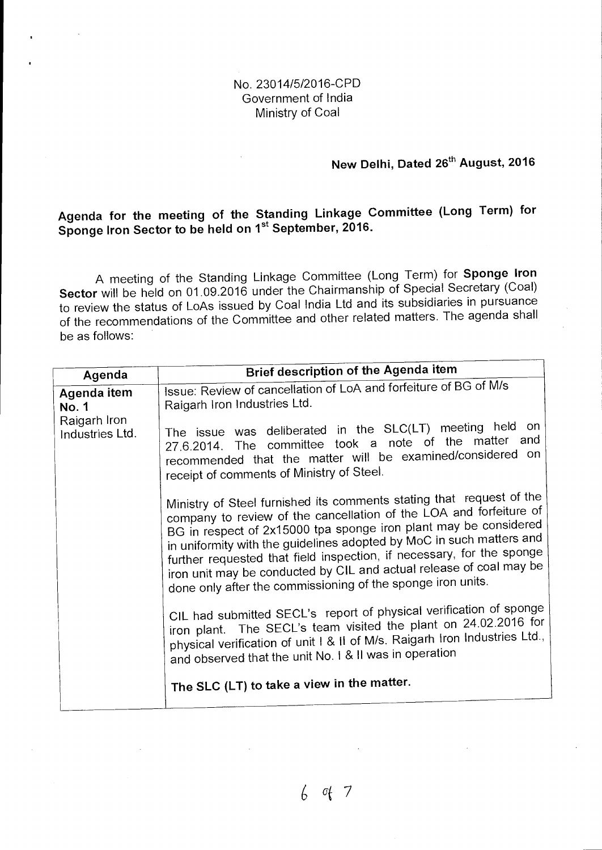### No. 23014/5/2016-CPD Government of India Ministry of Coal

# **New Delhi, Dated 26<sup>th</sup> August, 2016**

# **Agenda for the meeting of the Standing Linkage Committee (Long Term) for**  Sponge Iron Sector to be held on 1<sup>st</sup> September, 2016.

A meeting of the Standing Linkage Committee (Long Term) for **Sponge Iron Sector** will be held on 01.09.2016 under the Chairmanship of Special Secretary (Coal) to review the status of LoAs issued by Coal India Ltd and its subsidiaries in pursuance of the recommendations of the Committee and other related matters. The agenda shall be as follows:

|                                                                                 | <b>Brief description of the Agenda item</b>                                                                                                                                                                                                                                                                                                                                                                                   |
|---------------------------------------------------------------------------------|-------------------------------------------------------------------------------------------------------------------------------------------------------------------------------------------------------------------------------------------------------------------------------------------------------------------------------------------------------------------------------------------------------------------------------|
| Agenda<br><b>Agenda item</b><br><b>No. 1</b><br>Raigarh Iron<br>Industries Ltd. | Issue: Review of cancellation of LoA and forfeiture of BG of M/s<br>Raigarh Iron Industries Ltd.<br>The issue was deliberated in the SLC(LT) meeting held on<br>27.6.2014. The committee took a note of the matter and<br>recommended that the matter will be examined/considered on<br>receipt of comments of Ministry of Steel.<br>Ministry of Steel furnished its comments stating that request of the                     |
|                                                                                 | company to review of the cancellation of the LOA and forfeiture of<br>BG in respect of 2x15000 tpa sponge iron plant may be considered<br>in uniformity with the guidelines adopted by MoC in such matters and<br>further requested that field inspection, if necessary, for the sponge<br>iron unit may be conducted by CIL and actual release of coal may be<br>done only after the commissioning of the sponge iron units. |
|                                                                                 | CIL had submitted SECL's report of physical verification of sponge<br>iron plant. The SECL's team visited the plant on 24.02.2016 for<br>physical verification of unit I & II of M/s. Raigarh Iron Industries Ltd.,<br>and observed that the unit No. I & II was in operation<br>The SLC (LT) to take a view in the matter.                                                                                                   |
|                                                                                 |                                                                                                                                                                                                                                                                                                                                                                                                                               |